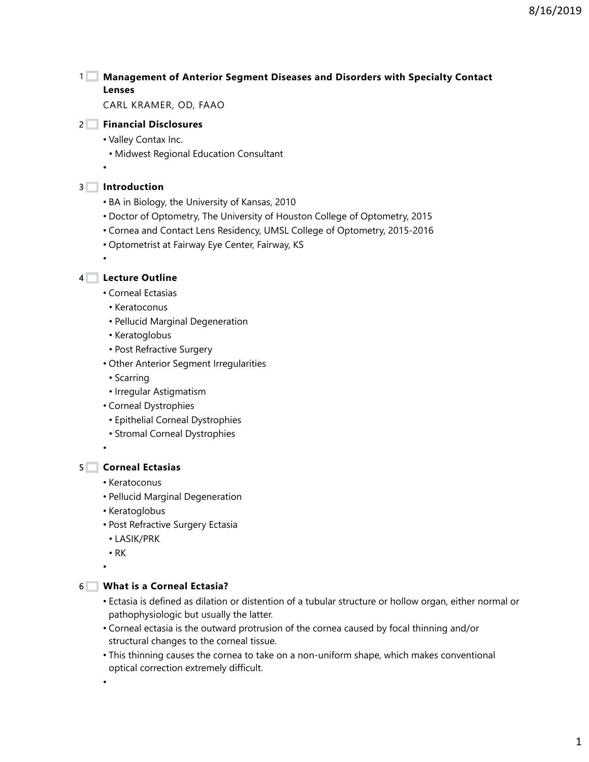8/16/2019

## **Management of Anterior Segment Diseases and Disorders with Specialty Contact**  1 **Lenses**

CARL KRAMER, OD, FAAO

## **Financial Disclosures** 2

- Valley Contax Inc.
- Midwest Regional Education Consultant

#### **Introduction** 3

•

•

- BA in Biology, the University of Kansas, 2010
- Doctor of Optometry, The University of Houston College of Optometry, 2015
- Cornea and Contact Lens Residency, UMSL College of Optometry, 2015-2016
- Optometrist at Fairway Eye Center, Fairway, KS

**Lecture Outline** 4

- Corneal Ectasias
- Keratoconus
- Pellucid Marginal Degeneration
- Keratoglobus
- Post Refractive Surgery
- Other Anterior Segment Irregularities
- Scarring
- Irregular Astigmatism
- Corneal Dystrophies
	- Epithelial Corneal Dystrophies
- Stromal Corneal Dystrophies

•

#### **Corneal Ectasias** 5

- Keratoconus
- Pellucid Marginal Degeneration
- Keratoglobus
- Post Refractive Surgery Ectasia
- LASIK/PRK
- RK

## •

## **What is a Corneal Ectasia?** 6

- Ectasia is defined as dilation or distention of a tubular structure or hollow organ, either normal or pathophysiologic but usually the latter.
- Corneal ectasia is the outward protrusion of the cornea caused by focal thinning and/or structural changes to the corneal tissue.
- This thinning causes the cornea to take on a non-uniform shape, which makes conventional optical correction extremely difficult.

•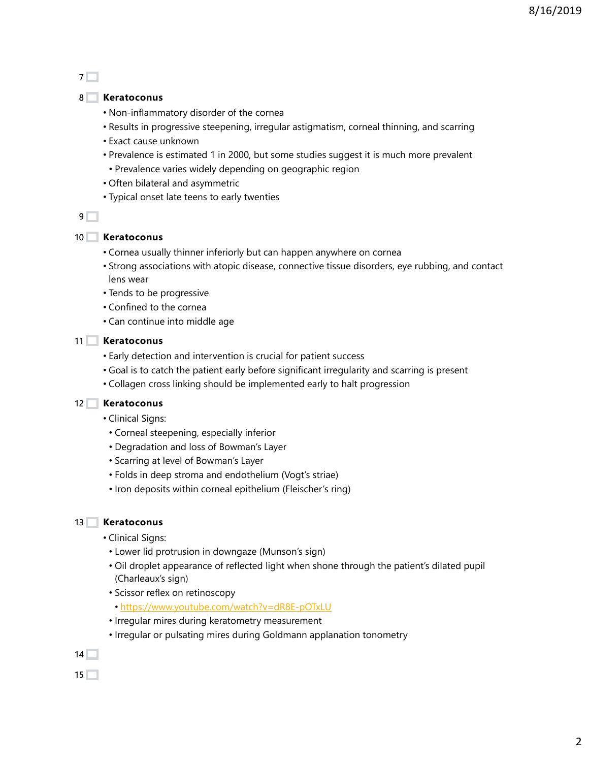$7\Box$ 

#### **Keratoconus** 8

- Non-inflammatory disorder of the cornea
- Results in progressive steepening, irregular astigmatism, corneal thinning, and scarring
- Exact cause unknown
- Prevalence is estimated 1 in 2000, but some studies suggest it is much more prevalent
	- Prevalence varies widely depending on geographic region
- Often bilateral and asymmetric
- Typical onset late teens to early twenties

 $9$ 

#### **Keratoconus** 10

- Cornea usually thinner inferiorly but can happen anywhere on cornea
- Strong associations with atopic disease, connective tissue disorders, eye rubbing, and contact lens wear
- Tends to be progressive
- Confined to the cornea
- Can continue into middle age

#### **Keratoconus** 11

- Early detection and intervention is crucial for patient success
- Goal is to catch the patient early before significant irregularity and scarring is present
- Collagen cross linking should be implemented early to halt progression

#### **Keratoconus** 12

- Clinical Signs:
	- Corneal steepening, especially inferior
	- Degradation and loss of Bowman's Layer
	- Scarring at level of Bowman's Layer
	- Folds in deep stroma and endothelium (Vogt's striae)
	- Iron deposits within corneal epithelium (Fleischer's ring)

#### **Keratoconus**  $13$

- Clinical Signs:
	- Lower lid protrusion in downgaze (Munson's sign)
	- Oil droplet appearance of reflected light when shone through the patient's dilated pupil (Charleaux's sign)
	- Scissor reflex on retinoscopy
	- https://www.youtube.com/watch?v=dR8E-pOTxLU
	- Irregular mires during keratometry measurement
	- Irregular or pulsating mires during Goldmann applanation tonometry

 $14$ 

 $15<sup>7</sup>$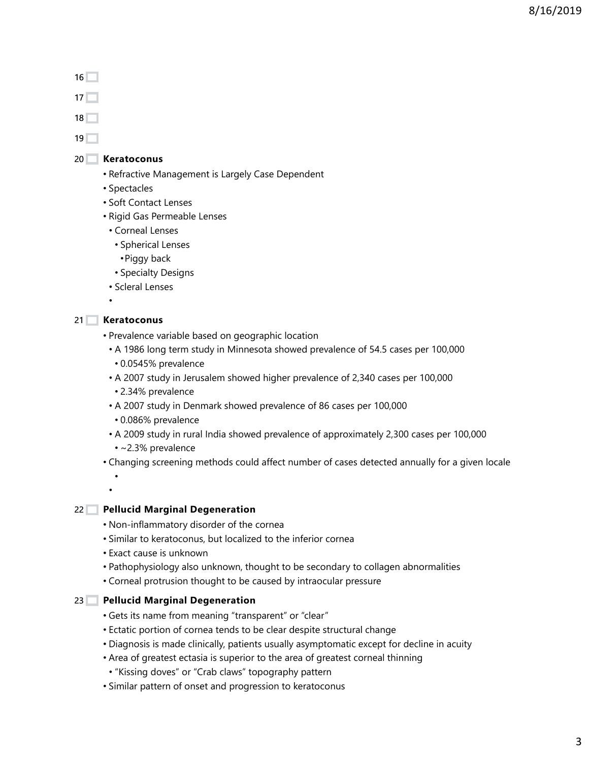8/16/2019

#### $16$

 $17$ 

 $18$ 

 $19<sup>–</sup>$ 

#### **Keratoconus** 20

- Refractive Management is Largely Case Dependent
- Spectacles
- Soft Contact Lenses
- Rigid Gas Permeable Lenses
- Corneal Lenses
- Spherical Lenses
- •Piggy back
- Specialty Designs
- Scleral Lenses

•

#### **Keratoconus** 21

• •

- Prevalence variable based on geographic location
- A 1986 long term study in Minnesota showed prevalence of 54.5 cases per 100,000 • 0.0545% prevalence
- A 2007 study in Jerusalem showed higher prevalence of 2,340 cases per 100,000
	- 2.34% prevalence
- A 2007 study in Denmark showed prevalence of 86 cases per 100,000
- 0.086% prevalence
- A 2009 study in rural India showed prevalence of approximately 2,300 cases per 100,000
- ~2.3% prevalence
- Changing screening methods could affect number of cases detected annually for a given locale

#### **Pellucid Marginal Degeneration** 22

- Non-inflammatory disorder of the cornea
- Similar to keratoconus, but localized to the inferior cornea
- Exact cause is unknown
- Pathophysiology also unknown, thought to be secondary to collagen abnormalities
- Corneal protrusion thought to be caused by intraocular pressure

## **Pellucid Marginal Degeneration** 23

- Gets its name from meaning "transparent" or "clear"
- Ectatic portion of cornea tends to be clear despite structural change
- Diagnosis is made clinically, patients usually asymptomatic except for decline in acuity
- Area of greatest ectasia is superior to the area of greatest corneal thinning
	- "Kissing doves" or "Crab claws" topography pattern
- Similar pattern of onset and progression to keratoconus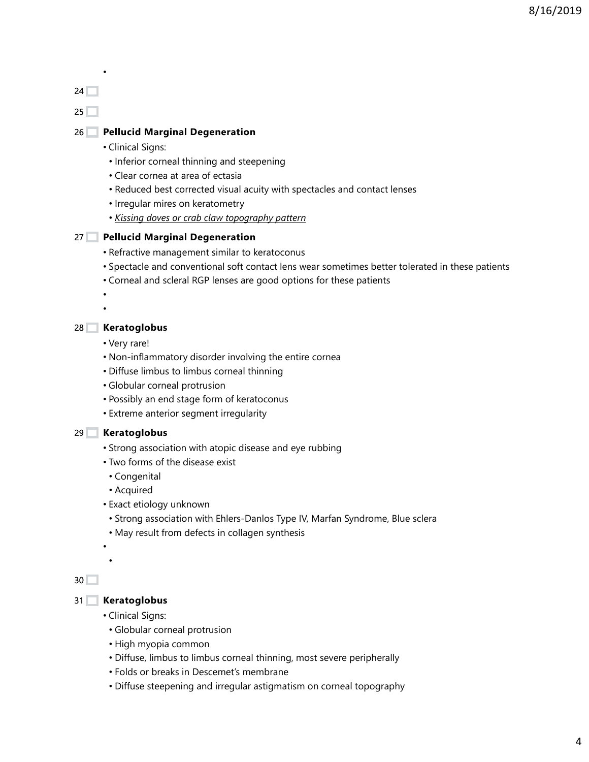•

 $25$ 

#### **Pellucid Marginal Degeneration** 26

- Clinical Signs:
- Inferior corneal thinning and steepening
- Clear cornea at area of ectasia
- Reduced best corrected visual acuity with spectacles and contact lenses
- Irregular mires on keratometry
- *Kissing doves or crab claw topography pattern*

#### **Pellucid Marginal Degeneration** 27

- Refractive management similar to keratoconus
- Spectacle and conventional soft contact lens wear sometimes better tolerated in these patients
- Corneal and scleral RGP lenses are good options for these patients

• •

## **Keratoglobus** 28

- Very rare!
- Non-inflammatory disorder involving the entire cornea
- Diffuse limbus to limbus corneal thinning
- Globular corneal protrusion
- Possibly an end stage form of keratoconus
- Extreme anterior segment irregularity

#### **Keratoglobus** 29

- Strong association with atopic disease and eye rubbing
- Two forms of the disease exist
- Congenital
- Acquired
- Exact etiology unknown
	- Strong association with Ehlers-Danlos Type IV, Marfan Syndrome, Blue sclera
	- May result from defects in collagen synthesis

• •

#### $30$

## **Keratoglobus** 31

- Clinical Signs:
- Globular corneal protrusion
- High myopia common
- Diffuse, limbus to limbus corneal thinning, most severe peripherally
- Folds or breaks in Descemet's membrane
- Diffuse steepening and irregular astigmatism on corneal topography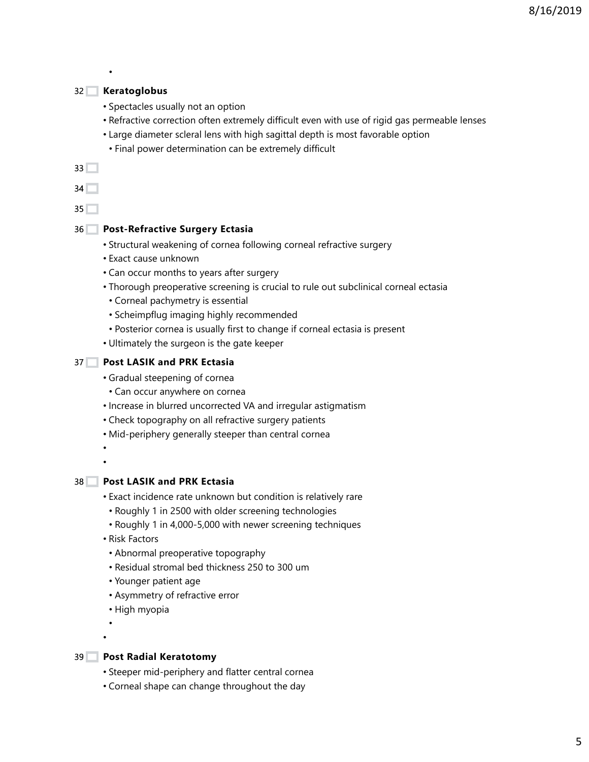#### **Keratoglobus** 32

•

- Spectacles usually not an option
- Refractive correction often extremely difficult even with use of rigid gas permeable lenses
- Large diameter scleral lens with high sagittal depth is most favorable option
	- Final power determination can be extremely difficult

 $33\Box$ 

 $34$ 

 $35<sup>2</sup>$ 

#### **Post-Refractive Surgery Ectasia** 36

- Structural weakening of cornea following corneal refractive surgery
- Exact cause unknown
- Can occur months to years after surgery
- Thorough preoperative screening is crucial to rule out subclinical corneal ectasia
- Corneal pachymetry is essential
- Scheimpflug imaging highly recommended
- Posterior cornea is usually first to change if corneal ectasia is present
- Ultimately the surgeon is the gate keeper

#### **Post LASIK and PRK Ectasia** 37

- Gradual steepening of cornea
	- Can occur anywhere on cornea
- Increase in blurred uncorrected VA and irregular astigmatism
- Check topography on all refractive surgery patients
- Mid-periphery generally steeper than central cornea

• •

```
Post LASIK and PRK Ectasia
38
```
- Exact incidence rate unknown but condition is relatively rare
	- Roughly 1 in 2500 with older screening technologies
	- Roughly 1 in 4,000-5,000 with newer screening techniques
- Risk Factors
- Abnormal preoperative topography
- Residual stromal bed thickness 250 to 300 um
- Younger patient age
- Asymmetry of refractive error
- High myopia

• •

- **Post Radial Keratotomy**  $39$ 
	- Steeper mid-periphery and flatter central cornea
	- Corneal shape can change throughout the day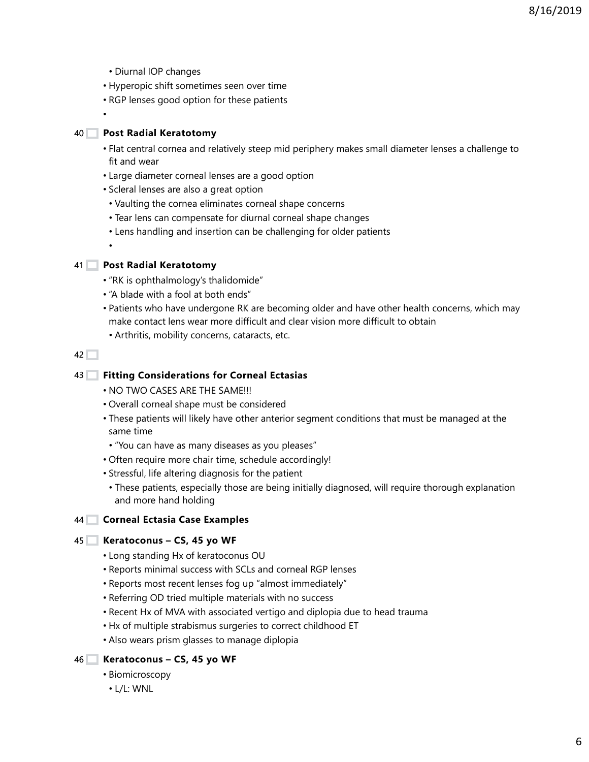- Diurnal IOP changes
- Hyperopic shift sometimes seen over time
- RGP lenses good option for these patients

•

## **Post Radial Keratotomy** 40

- Flat central cornea and relatively steep mid periphery makes small diameter lenses a challenge to fit and wear
- Large diameter corneal lenses are a good option
- Scleral lenses are also a great option
- Vaulting the cornea eliminates corneal shape concerns
- Tear lens can compensate for diurnal corneal shape changes
- Lens handling and insertion can be challenging for older patients

**Post Radial Keratotomy** 41

•

- "RK is ophthalmology's thalidomide"
- "A blade with a fool at both ends"
- Patients who have undergone RK are becoming older and have other health concerns, which may make contact lens wear more difficult and clear vision more difficult to obtain
	- Arthritis, mobility concerns, cataracts, etc.

 $42\Box$ 

#### **Fitting Considerations for Corneal Ectasias** 43

- NO TWO CASES ARE THE SAME!!!
- Overall corneal shape must be considered
- These patients will likely have other anterior segment conditions that must be managed at the same time
- "You can have as many diseases as you pleases"
- Often require more chair time, schedule accordingly!
- Stressful, life altering diagnosis for the patient
	- These patients, especially those are being initially diagnosed, will require thorough explanation and more hand holding

#### **Corneal Ectasia Case Examples** 44

#### **Keratoconus – CS, 45 yo WF** 45

- Long standing Hx of keratoconus OU
- Reports minimal success with SCLs and corneal RGP lenses
- Reports most recent lenses fog up "almost immediately"
- Referring OD tried multiple materials with no success
- Recent Hx of MVA with associated vertigo and diplopia due to head trauma
- Hx of multiple strabismus surgeries to correct childhood ET
- Also wears prism glasses to manage diplopia

## **Keratoconus – CS, 45 yo WF** 46

- Biomicroscopy
- L/L: WNL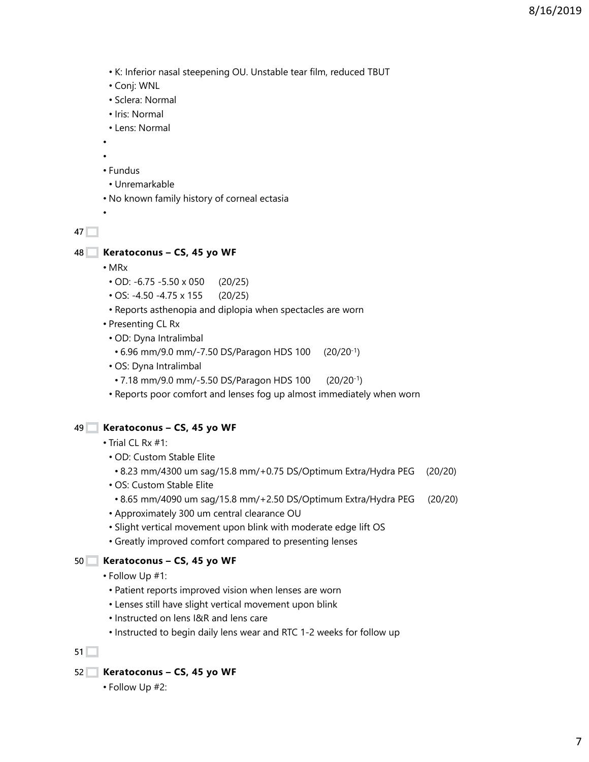- K: Inferior nasal steepening OU. Unstable tear film, reduced TBUT
- Conj: WNL
- Sclera: Normal
- Iris: Normal
- Lens: Normal
- •

•

- • Fundus
- Unremarkable
- No known family history of corneal ectasia

 $47$ 

- **Keratoconus CS, 45 yo WF** 48
	- MRx
	- OD: -6.75 -5.50 x 050 (20/25)
	- OS: -4.50 -4.75 x 155 (20/25)
	- Reports asthenopia and diplopia when spectacles are worn
	- Presenting CL Rx
		- OD: Dyna Intralimbal
		- 6.96 mm/9.0 mm/-7.50 DS/Paragon HDS 100 (20/20-1)
		- OS: Dyna Intralimbal
		- 7.18 mm/9.0 mm/-5.50 DS/Paragon HDS 100 (20/20-1)
		- Reports poor comfort and lenses fog up almost immediately when worn

#### **Keratoconus – CS, 45 yo WF** 49

- Trial CL Rx #1:
	- OD: Custom Stable Elite
	- 8.23 mm/4300 um sag/15.8 mm/+0.75 DS/Optimum Extra/Hydra PEG (20/20)
	- OS: Custom Stable Elite
	- 8.65 mm/4090 um sag/15.8 mm/+2.50 DS/Optimum Extra/Hydra PEG (20/20)
	- Approximately 300 um central clearance OU
	- Slight vertical movement upon blink with moderate edge lift OS
	- Greatly improved comfort compared to presenting lenses

## **Keratoconus – CS, 45 yo WF** 50

- Follow Up #1:
	- Patient reports improved vision when lenses are worn
	- Lenses still have slight vertical movement upon blink
- Instructed on lens I&R and lens care
- Instructed to begin daily lens wear and RTC 1-2 weeks for follow up

 $51$ 

- **Keratoconus CS, 45 yo WF** 52
	- Follow Up #2: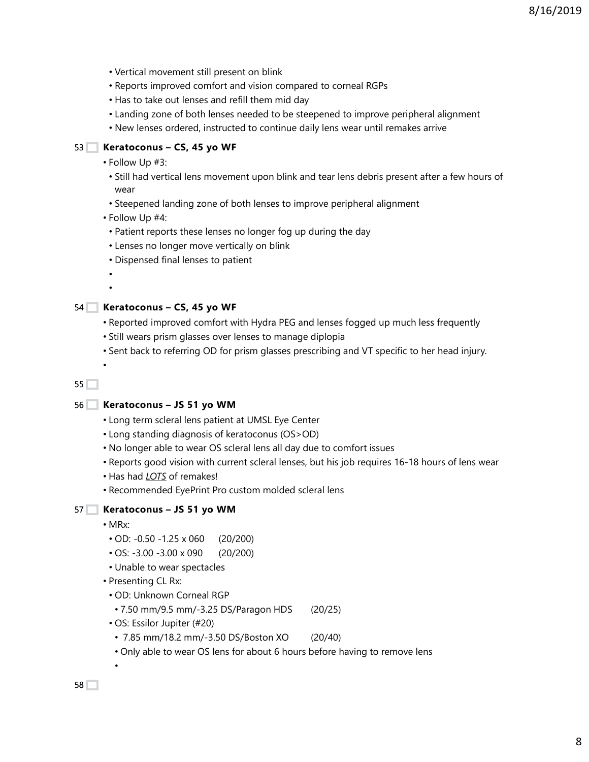- Vertical movement still present on blink
- Reports improved comfort and vision compared to corneal RGPs
- Has to take out lenses and refill them mid day
- Landing zone of both lenses needed to be steepened to improve peripheral alignment
- New lenses ordered, instructed to continue daily lens wear until remakes arrive

#### **Keratoconus – CS, 45 yo WF** 53

- Follow Up #3:
	- Still had vertical lens movement upon blink and tear lens debris present after a few hours of wear
	- Steepened landing zone of both lenses to improve peripheral alignment
- Follow Up #4:
	- Patient reports these lenses no longer fog up during the day
	- Lenses no longer move vertically on blink
	- Dispensed final lenses to patient

• •

•

#### **Keratoconus – CS, 45 yo WF** 54

- Reported improved comfort with Hydra PEG and lenses fogged up much less frequently
- Still wears prism glasses over lenses to manage diplopia
- Sent back to referring OD for prism glasses prescribing and VT specific to her head injury.

 $55$   $\Box$ 

#### **Keratoconus – JS 51 yo WM** 56

- Long term scleral lens patient at UMSL Eye Center
- Long standing diagnosis of keratoconus (OS>OD)
- No longer able to wear OS scleral lens all day due to comfort issues
- Reports good vision with current scleral lenses, but his job requires 16-18 hours of lens wear
- Has had *LOTS* of remakes!
- Recommended EyePrint Pro custom molded scleral lens

#### **Keratoconus – JS 51 yo WM** 57

• MRx:

•

- OD: -0.50 -1.25 x 060 (20/200)
- OS: -3.00 -3.00 x 090 (20/200)
- Unable to wear spectacles
- Presenting CL Rx:
- OD: Unknown Corneal RGP
- 7.50 mm/9.5 mm/-3.25 DS/Paragon HDS (20/25)
- OS: Essilor Jupiter (#20)
- 7.85 mm/18.2 mm/-3.50 DS/Boston XO (20/40)
- Only able to wear OS lens for about 6 hours before having to remove lens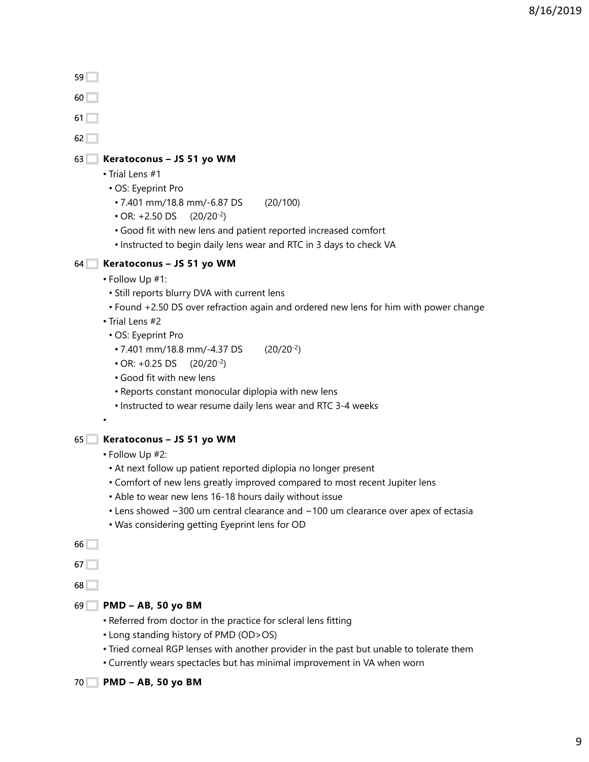- $59$
- $60$

 $61$ <sup> $-$ </sup>

 $62$ 

## **Keratoconus – JS 51 yo WM** 63

- Trial Lens #1
- OS: Eyeprint Pro
	- 7.401 mm/18.8 mm/-6.87 DS (20/100)
	- $\cdot$  OR: +2.50 DS (20/20<sup>-2</sup>)
	- Good fit with new lens and patient reported increased comfort
	- Instructed to begin daily lens wear and RTC in 3 days to check VA

## **Keratoconus – JS 51 yo WM** 64

- Follow Up #1:
	- Still reports blurry DVA with current lens
	- Found +2.50 DS over refraction again and ordered new lens for him with power change
- Trial Lens #2
	- OS: Eyeprint Pro
	- 7.401 mm/18.8 mm/-4.37 DS (20/20-2)
	- $\cdot$  OR:  $+0.25$  DS (20/20<sup>-2</sup>)
	- Good fit with new lens
	- Reports constant monocular diplopia with new lens
	- Instructed to wear resume daily lens wear and RTC 3-4 weeks
- •

## **Keratoconus – JS 51 yo WM** 65

- Follow Up #2:
- At next follow up patient reported diplopia no longer present
- Comfort of new lens greatly improved compared to most recent Jupiter lens
- Able to wear new lens 16-18 hours daily without issue
- Lens showed ~300 um central clearance and ~100 um clearance over apex of ectasia
- Was considering getting Eyeprint lens for OD

 $66$ 

 $67$ 

68

- **PMD AB, 50 yo BM** 69
	- Referred from doctor in the practice for scleral lens fitting
	- Long standing history of PMD (OD>OS)
	- Tried corneal RGP lenses with another provider in the past but unable to tolerate them
	- Currently wears spectacles but has minimal improvement in VA when worn
- **PMD AB, 50 yo BM** 70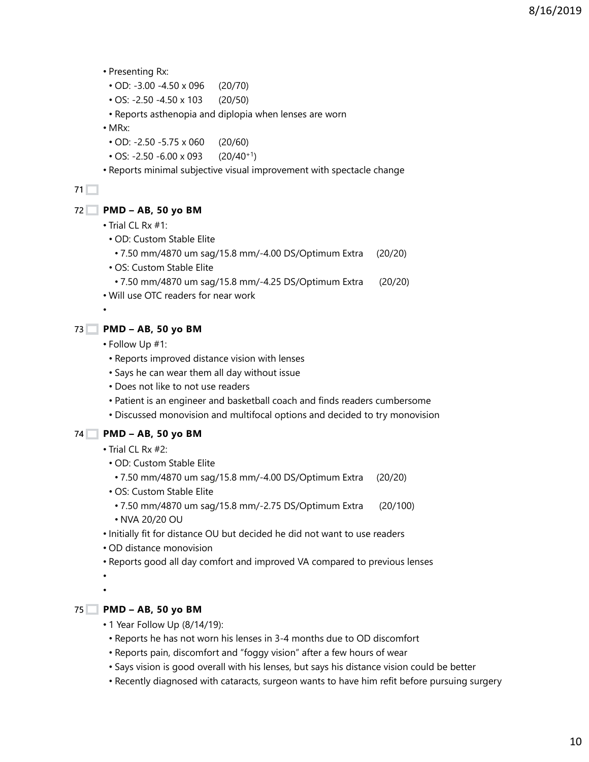- Presenting Rx:
	- OD: -3.00 -4.50 x 096 (20/70)
	- OS: -2.50 -4.50 x 103 (20/50)
- Reports asthenopia and diplopia when lenses are worn
- MRx:
	- OD: -2.50 -5.75 x 060 (20/60)
- OS:  $-2.50 6.00 \times 093$  (20/40<sup>+1</sup>)
- Reports minimal subjective visual improvement with spectacle change

#### **PMD – AB, 50 yo BM** 72

- Trial CL Rx #1:
- OD: Custom Stable Elite
	- 7.50 mm/4870 um sag/15.8 mm/-4.00 DS/Optimum Extra (20/20)
- OS: Custom Stable Elite
- 7.50 mm/4870 um sag/15.8 mm/-4.25 DS/Optimum Extra (20/20)
- Will use OTC readers for near work

#### •

#### **PMD – AB, 50 yo BM**  $73$

- Follow Up #1:
	- Reports improved distance vision with lenses
- Says he can wear them all day without issue
- Does not like to not use readers
- Patient is an engineer and basketball coach and finds readers cumbersome
- Discussed monovision and multifocal options and decided to try monovision

## **PMD – AB, 50 yo BM** 74

- Trial CL Rx #2:
- OD: Custom Stable Elite
	- 7.50 mm/4870 um sag/15.8 mm/-4.00 DS/Optimum Extra (20/20)
- OS: Custom Stable Elite
	- 7.50 mm/4870 um sag/15.8 mm/-2.75 DS/Optimum Extra (20/100)
	- NVA 20/20 OU
- Initially fit for distance OU but decided he did not want to use readers
- OD distance monovision
- Reports good all day comfort and improved VA compared to previous lenses

• •

## **PMD – AB, 50 yo BM** 75

- 1 Year Follow Up (8/14/19):
- Reports he has not worn his lenses in 3-4 months due to OD discomfort
- Reports pain, discomfort and "foggy vision" after a few hours of wear
- Says vision is good overall with his lenses, but says his distance vision could be better
- Recently diagnosed with cataracts, surgeon wants to have him refit before pursuing surgery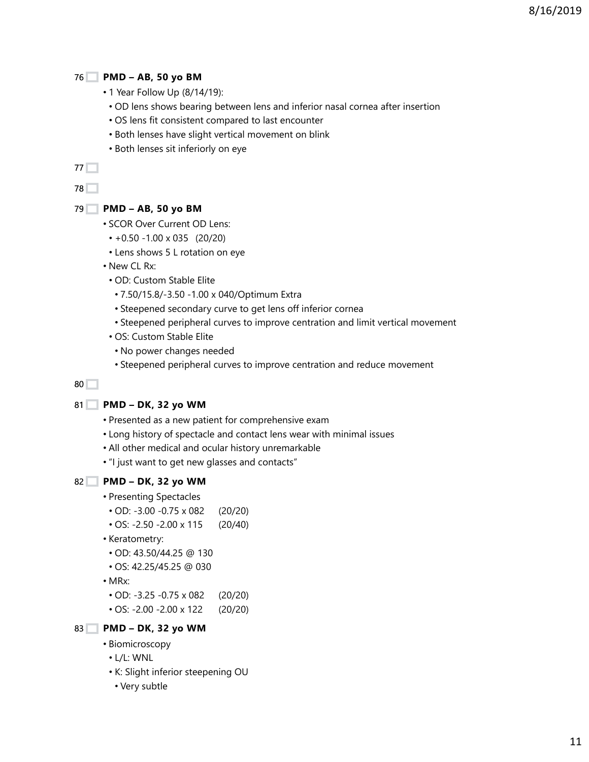## **PMD – AB, 50 yo BM** 76

- 1 Year Follow Up (8/14/19):
	- OD lens shows bearing between lens and inferior nasal cornea after insertion
- OS lens fit consistent compared to last encounter
- Both lenses have slight vertical movement on blink
- Both lenses sit inferiorly on eye

77 **1** 

78<sup> $\Box$ </sup>

#### **PMD – AB, 50 yo BM** 79

- SCOR Over Current OD Lens:
	- +0.50 -1.00 x 035 (20/20)
- Lens shows 5 L rotation on eye

• New CL Rx:

- OD: Custom Stable Elite
- 7.50/15.8/-3.50 -1.00 x 040/Optimum Extra
- Steepened secondary curve to get lens off inferior cornea
- Steepened peripheral curves to improve centration and limit vertical movement
- OS: Custom Stable Elite
- No power changes needed
- Steepened peripheral curves to improve centration and reduce movement

80

#### **PMD – DK, 32 yo WM** 81

- Presented as a new patient for comprehensive exam
- Long history of spectacle and contact lens wear with minimal issues
- All other medical and ocular history unremarkable
- "I just want to get new glasses and contacts"

#### **PMD – DK, 32 yo WM** 82

- Presenting Spectacles
- OD: -3.00 -0.75 x 082 (20/20)
- OS: -2.50 -2.00 x 115 (20/40)
- Keratometry:
	- OD: 43.50/44.25 @ 130
- OS: 42.25/45.25 @ 030
- MRx:
- OD: -3.25 -0.75 x 082 (20/20)
- OS: -2.00 -2.00 x 122 (20/20)
- **PMD DK, 32 yo WM** 83
	- Biomicroscopy
	- L/L: WNL
	- K: Slight inferior steepening OU
	- Very subtle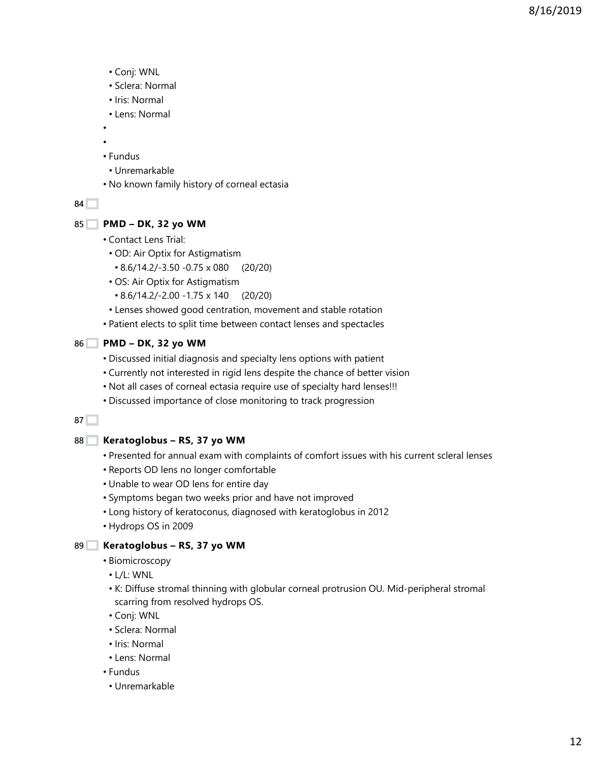- Conj: WNL
- Sclera: Normal
- Iris: Normal
- Lens: Normal
- •
- • Fundus
- Unremarkable
- No known family history of corneal ectasia

## **PMD – DK, 32 yo WM** 85

- Contact Lens Trial:
- OD: Air Optix for Astigmatism
	- 8.6/14.2/-3.50 -0.75 x 080 (20/20)
- OS: Air Optix for Astigmatism
- 8.6/14.2/-2.00 -1.75 x 140 (20/20)
- Lenses showed good centration, movement and stable rotation
- Patient elects to split time between contact lenses and spectacles
- **PMD DK, 32 yo WM** 86
	- Discussed initial diagnosis and specialty lens options with patient
	- Currently not interested in rigid lens despite the chance of better vision
	- Not all cases of corneal ectasia require use of specialty hard lenses!!!
	- Discussed importance of close monitoring to track progression

## $87$

## **Keratoglobus – RS, 37 yo WM** 88

- Presented for annual exam with complaints of comfort issues with his current scleral lenses
- Reports OD lens no longer comfortable
- Unable to wear OD lens for entire day
- Symptoms began two weeks prior and have not improved
- Long history of keratoconus, diagnosed with keratoglobus in 2012
- Hydrops OS in 2009

## **Keratoglobus – RS, 37 yo WM** 89

- Biomicroscopy
- L/L: WNL
- K: Diffuse stromal thinning with globular corneal protrusion OU. Mid-peripheral stromal scarring from resolved hydrops OS.
- Conj: WNL
- Sclera: Normal
- Iris: Normal
- Lens: Normal
- Fundus
	- Unremarkable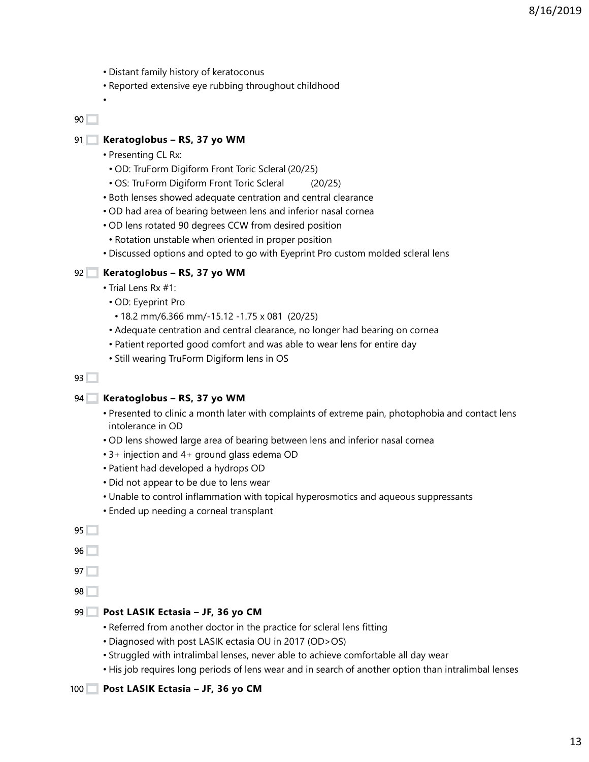- Distant family history of keratoconus
- Reported extensive eye rubbing throughout childhood

•

#### **Keratoglobus – RS, 37 yo WM**  $91$

- Presenting CL Rx:
	- OD: TruForm Digiform Front Toric Scleral (20/25)
	- OS: TruForm Digiform Front Toric Scleral (20/25)
- Both lenses showed adequate centration and central clearance
- OD had area of bearing between lens and inferior nasal cornea
- OD lens rotated 90 degrees CCW from desired position
	- Rotation unstable when oriented in proper position
- Discussed options and opted to go with Eyeprint Pro custom molded scleral lens

#### **Keratoglobus – RS, 37 yo WM** 92

- Trial Lens Rx #1:
- OD: Eyeprint Pro
- 18.2 mm/6.366 mm/-15.12 -1.75 x 081 (20/25)
- Adequate centration and central clearance, no longer had bearing on cornea
- Patient reported good comfort and was able to wear lens for entire day
- Still wearing TruForm Digiform lens in OS

#### $93$

#### **Keratoglobus – RS, 37 yo WM** 94

- Presented to clinic a month later with complaints of extreme pain, photophobia and contact lens intolerance in OD
- OD lens showed large area of bearing between lens and inferior nasal cornea
- 3+ injection and 4+ ground glass edema OD
- Patient had developed a hydrops OD
- Did not appear to be due to lens wear
- Unable to control inflammation with topical hyperosmotics and aqueous suppressants
- Ended up needing a corneal transplant

 $95$ 

96

 $97$ 

98

# **Post LASIK Ectasia – JF, 36 yo CM** 99

- Referred from another doctor in the practice for scleral lens fitting
- Diagnosed with post LASIK ectasia OU in 2017 (OD>OS)
- Struggled with intralimbal lenses, never able to achieve comfortable all day wear
- His job requires long periods of lens wear and in search of another option than intralimbal lenses

#### **Post LASIK Ectasia – JF, 36 yo CM**  $100$   $\Box$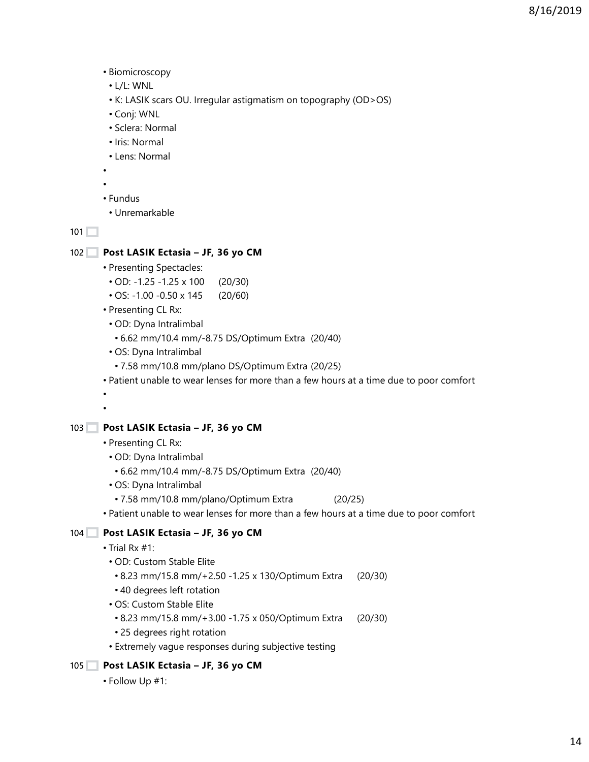- Biomicroscopy
- L/L: WNL
- K: LASIK scars OU. Irregular astigmatism on topography (OD>OS)
- Conj: WNL
- Sclera: Normal
- Iris: Normal
- Lens: Normal
- •
- •
- Fundus
- Unremarkable

#### **Post LASIK Ectasia – JF, 36 yo CM**  $102$

- Presenting Spectacles:
- OD: -1.25 -1.25 x 100 (20/30)
- OS: -1.00 -0.50 x 145 (20/60)
- Presenting CL Rx:
- OD: Dyna Intralimbal
	- 6.62 mm/10.4 mm/-8.75 DS/Optimum Extra (20/40)
- OS: Dyna Intralimbal
	- 7.58 mm/10.8 mm/plano DS/Optimum Extra (20/25)
- Patient unable to wear lenses for more than a few hours at a time due to poor comfort
- •

#### **Post LASIK Ectasia – JF, 36 yo CM** 103

- Presenting CL Rx:
- OD: Dyna Intralimbal
	- 6.62 mm/10.4 mm/-8.75 DS/Optimum Extra (20/40)
- OS: Dyna Intralimbal
- 7.58 mm/10.8 mm/plano/Optimum Extra (20/25)
- Patient unable to wear lenses for more than a few hours at a time due to poor comfort

## **Post LASIK Ectasia – JF, 36 yo CM** 104

- Trial Rx #1:
	- OD: Custom Stable Elite
	- 8.23 mm/15.8 mm/+2.50 -1.25 x 130/Optimum Extra (20/30)
	- 40 degrees left rotation
	- OS: Custom Stable Elite
	- 8.23 mm/15.8 mm/+3.00 -1.75 x 050/Optimum Extra (20/30)
	- 25 degrees right rotation
	- Extremely vague responses during subjective testing

#### **Post LASIK Ectasia – JF, 36 yo CM**  $105$

• Follow Up #1: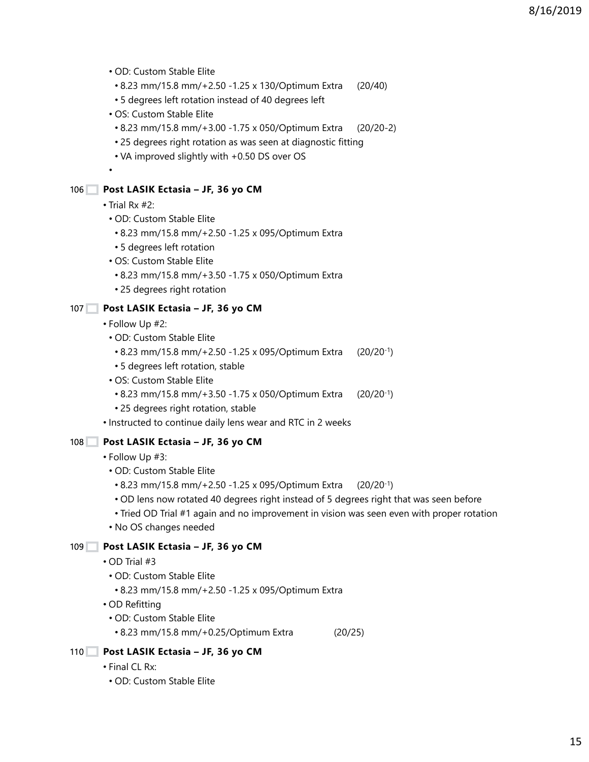- OD: Custom Stable Elite
- 8.23 mm/15.8 mm/+2.50 -1.25 x 130/Optimum Extra (20/40)
- 5 degrees left rotation instead of 40 degrees left
- OS: Custom Stable Elite
- 8.23 mm/15.8 mm/+3.00 -1.75 x 050/Optimum Extra (20/20-2)
- 25 degrees right rotation as was seen at diagnostic fitting
- VA improved slightly with +0.50 DS over OS

#### **Post LASIK Ectasia – JF, 36 yo CM** 106

• Trial Rx #2:

•

- OD: Custom Stable Elite
- 8.23 mm/15.8 mm/+2.50 -1.25 x 095/Optimum Extra
- 5 degrees left rotation
- OS: Custom Stable Elite
- 8.23 mm/15.8 mm/+3.50 -1.75 x 050/Optimum Extra
- 25 degrees right rotation

#### **Post LASIK Ectasia – JF, 36 yo CM** 107

- Follow Up #2:
	- OD: Custom Stable Elite
	- 8.23 mm/15.8 mm/+2.50 -1.25 x 095/Optimum Extra (20/20-1)
	- 5 degrees left rotation, stable
	- OS: Custom Stable Elite
	- 8.23 mm/15.8 mm/+3.50 -1.75 x 050/Optimum Extra (20/20-1)
	- 25 degrees right rotation, stable
- Instructed to continue daily lens wear and RTC in 2 weeks

#### **Post LASIK Ectasia – JF, 36 yo CM**  $108$

- Follow Up #3:
	- OD: Custom Stable Elite
	- 8.23 mm/15.8 mm/+2.50 -1.25 x 095/Optimum Extra (20/20-1)
	- OD lens now rotated 40 degrees right instead of 5 degrees right that was seen before
	- Tried OD Trial #1 again and no improvement in vision was seen even with proper rotation
	- No OS changes needed

## **Post LASIK Ectasia – JF, 36 yo CM** 109

- OD Trial #3
- OD: Custom Stable Elite
	- 8.23 mm/15.8 mm/+2.50 -1.25 x 095/Optimum Extra
- OD Refitting
	- OD: Custom Stable Elite
	- 8.23 mm/15.8 mm/+0.25/Optimum Extra (20/25)

## **Post LASIK Ectasia – JF, 36 yo CM** 110

- Final CL Rx:
	- OD: Custom Stable Elite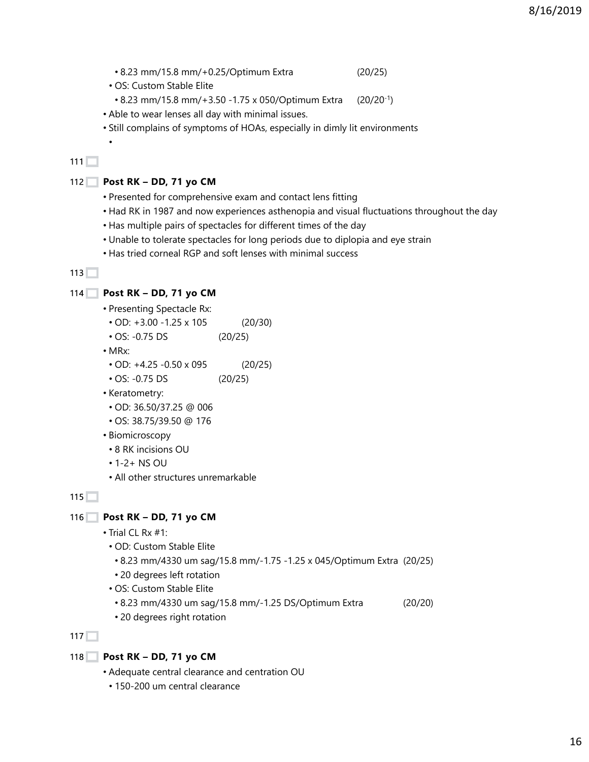• 8.23 mm/15.8 mm/+0.25/Optimum Extra (20/25)

• OS: Custom Stable Elite

- 8.23 mm/15.8 mm/+3.50 -1.75 x 050/Optimum Extra (20/20-1)
- Able to wear lenses all day with minimal issues.
- Still complains of symptoms of HOAs, especially in dimly lit environments

# $111$

•

#### **Post RK – DD, 71 yo CM** 112

- Presented for comprehensive exam and contact lens fitting
- Had RK in 1987 and now experiences asthenopia and visual fluctuations throughout the day
- Has multiple pairs of spectacles for different times of the day
- Unable to tolerate spectacles for long periods due to diplopia and eye strain
- Has tried corneal RGP and soft lenses with minimal success

#### $113$

#### **Post RK – DD, 71 yo CM** 114

- Presenting Spectacle Rx: • OD: +3.00 -1.25 x 105 (20/30) • OS: -0.75 DS (20/25) • MRx: • OD: +4.25 -0.50 x 095 (20/25) • OS: -0.75 DS (20/25) • Keratometry: • OD: 36.50/37.25 @ 006 • OS: 38.75/39.50 @ 176 • Biomicroscopy
- 8 RK incisions OU
- 1-2+ NS OU
- All other structures unremarkable

 $115$ 

#### **Post RK – DD, 71 yo CM** 116

- Trial CL Rx #1:
	- OD: Custom Stable Elite
	- 8.23 mm/4330 um sag/15.8 mm/-1.75 -1.25 x 045/Optimum Extra (20/25)
	- 20 degrees left rotation
	- OS: Custom Stable Elite
	- 8.23 mm/4330 um sag/15.8 mm/-1.25 DS/Optimum Extra (20/20)
	- 20 degrees right rotation

#### $117$

#### **Post RK – DD, 71 yo CM** 118

- Adequate central clearance and centration OU
	- 150-200 um central clearance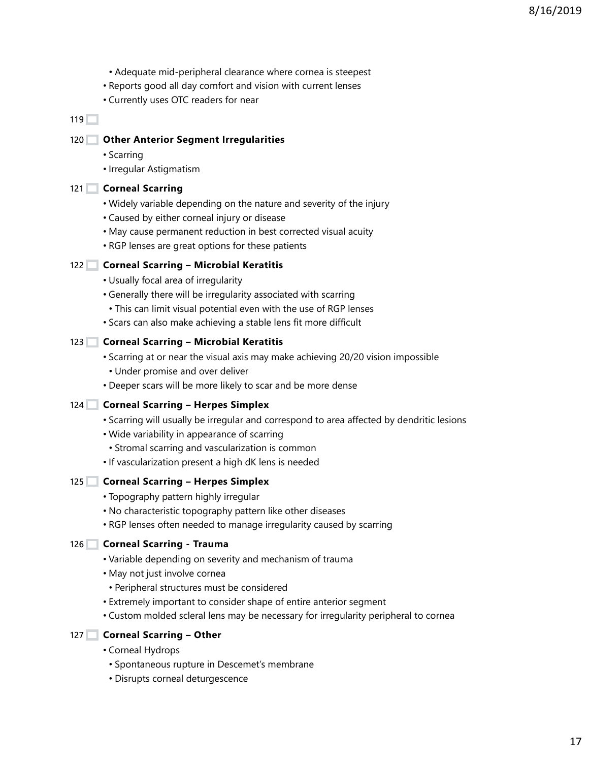- Adequate mid-peripheral clearance where cornea is steepest
- Reports good all day comfort and vision with current lenses
- Currently uses OTC readers for near

#### **Other Anterior Segment Irregularities** 120

- Scarring
- Irregular Astigmatism

#### 121 Corneal Scarring

- Widely variable depending on the nature and severity of the injury
- Caused by either corneal injury or disease
- May cause permanent reduction in best corrected visual acuity
- RGP lenses are great options for these patients

## **Corneal Scarring – Microbial Keratitis** 122

- Usually focal area of irregularity
- Generally there will be irregularity associated with scarring
	- This can limit visual potential even with the use of RGP lenses
- Scars can also make achieving a stable lens fit more difficult

#### **Corneal Scarring – Microbial Keratitis** 123

- Scarring at or near the visual axis may make achieving 20/20 vision impossible
	- Under promise and over deliver
- Deeper scars will be more likely to scar and be more dense

## 124 Corneal Scarring - Herpes Simplex

- Scarring will usually be irregular and correspond to area affected by dendritic lesions
- Wide variability in appearance of scarring
	- Stromal scarring and vascularization is common
- If vascularization present a high dK lens is needed

## 125 Corneal Scarring - Herpes Simplex

- Topography pattern highly irregular
- No characteristic topography pattern like other diseases
- RGP lenses often needed to manage irregularity caused by scarring

#### **Corneal Scarring - Trauma** 126

- Variable depending on severity and mechanism of trauma
- May not just involve cornea
	- Peripheral structures must be considered
- Extremely important to consider shape of entire anterior segment
- Custom molded scleral lens may be necessary for irregularity peripheral to cornea

## 127 Corneal Scarring - Other

- Corneal Hydrops
	- Spontaneous rupture in Descemet's membrane
	- Disrupts corneal deturgescence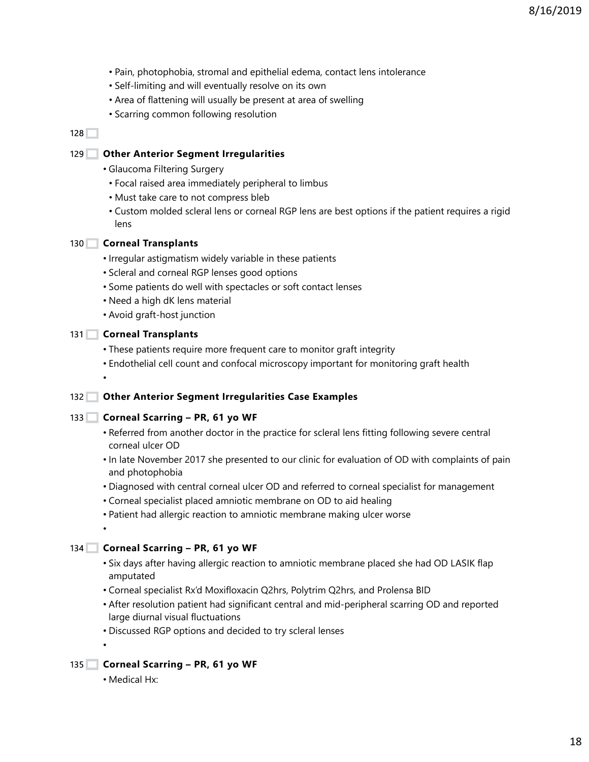- Pain, photophobia, stromal and epithelial edema, contact lens intolerance
- Self-limiting and will eventually resolve on its own
- Area of flattening will usually be present at area of swelling
- Scarring common following resolution

#### **Other Anterior Segment Irregularities** 129

- Glaucoma Filtering Surgery
	- Focal raised area immediately peripheral to limbus
	- Must take care to not compress bleb
	- Custom molded scleral lens or corneal RGP lens are best options if the patient requires a rigid lens

#### **Corneal Transplants** 130

- Irregular astigmatism widely variable in these patients
- Scleral and corneal RGP lenses good options
- Some patients do well with spectacles or soft contact lenses
- Need a high dK lens material
- Avoid graft-host junction

#### **Corneal Transplants** 131

•

•

•

- These patients require more frequent care to monitor graft integrity
- Endothelial cell count and confocal microscopy important for monitoring graft health

## **Other Anterior Segment Irregularities Case Examples** 132

#### 133 Corneal Scarring - PR, 61 yo WF

- Referred from another doctor in the practice for scleral lens fitting following severe central corneal ulcer OD
- In late November 2017 she presented to our clinic for evaluation of OD with complaints of pain and photophobia
- Diagnosed with central corneal ulcer OD and referred to corneal specialist for management
- Corneal specialist placed amniotic membrane on OD to aid healing
- Patient had allergic reaction to amniotic membrane making ulcer worse

## 134 Corneal Scarring - PR, 61 yo WF

- Six days after having allergic reaction to amniotic membrane placed she had OD LASIK flap amputated
- Corneal specialist Rx'd Moxifloxacin Q2hrs, Polytrim Q2hrs, and Prolensa BID
- After resolution patient had significant central and mid-peripheral scarring OD and reported large diurnal visual fluctuations
- Discussed RGP options and decided to try scleral lenses
- 135 Corneal Scarring PR, 61 yo WF
	- Medical Hx: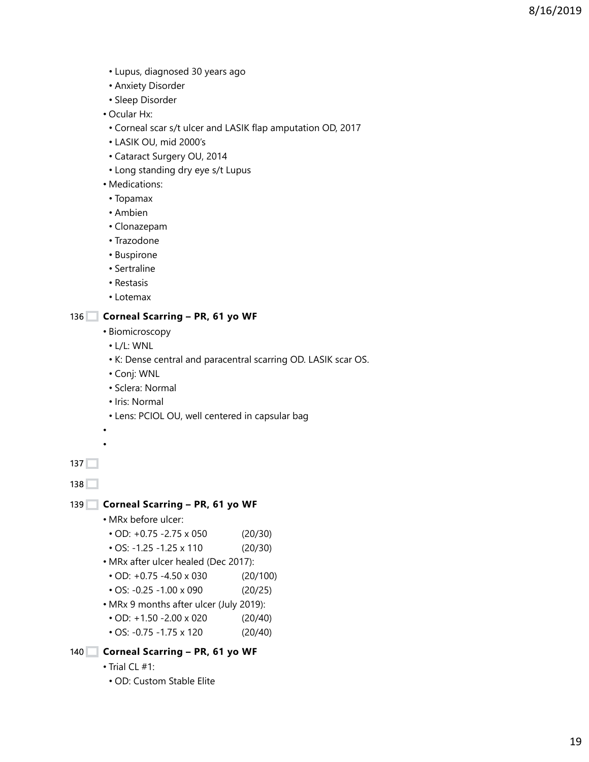- Lupus, diagnosed 30 years ago
- Anxiety Disorder
- Sleep Disorder
- Ocular Hx:
	- Corneal scar s/t ulcer and LASIK flap amputation OD, 2017
- LASIK OU, mid 2000's
- Cataract Surgery OU, 2014
- Long standing dry eye s/t Lupus
- Medications:
	- Topamax
- Ambien
- Clonazepam
- Trazodone
- Buspirone
- Sertraline
- Restasis
- Lotemax

## 136 Corneal Scarring - PR, 61 yo WF

- Biomicroscopy
- L/L: WNL
- K: Dense central and paracentral scarring OD. LASIK scar OS.
- Conj: WNL
- Sclera: Normal
- Iris: Normal
- Lens: PCIOL OU, well centered in capsular bag

• •

137

138

## 139 Corneal Scarring - PR, 61 yo WF

- MRx before ulcer:
- OD: +0.75 -2.75 x 050 (20/30)
- OS: -1.25 -1.25 x 110 (20/30)
- MRx after ulcer healed (Dec 2017):
- OD: +0.75 -4.50 x 030 (20/100)
- OS: -0.25 -1.00 x 090 (20/25)
- MRx 9 months after ulcer (July 2019):
- OD: +1.50 -2.00 x 020 (20/40)
- OS: -0.75 -1.75 x 120 (20/40)

```
140 Corneal Scarring - PR, 61 yo WF
```
- Trial CL #1:
- OD: Custom Stable Elite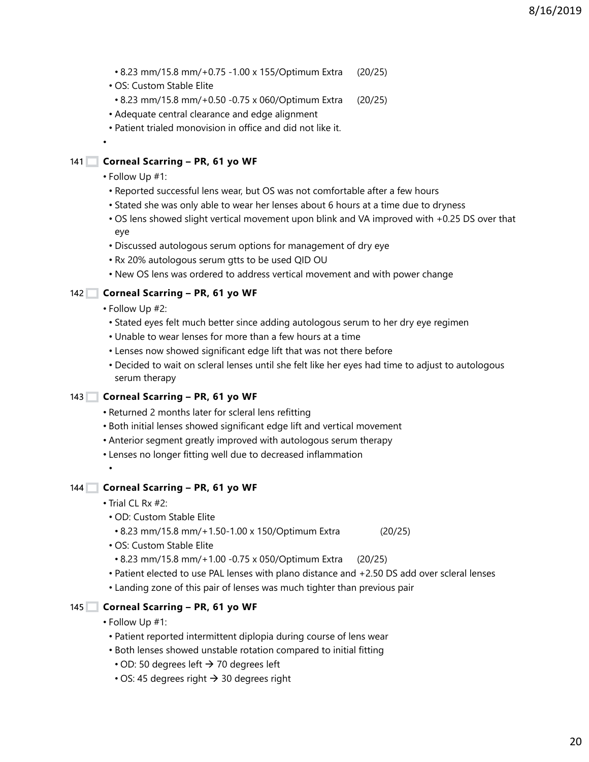- 8.23 mm/15.8 mm/+0.75 -1.00 x 155/Optimum Extra (20/25)
- OS: Custom Stable Elite
- 8.23 mm/15.8 mm/+0.50 -0.75 x 060/Optimum Extra (20/25)
- Adequate central clearance and edge alignment
- Patient trialed monovision in office and did not like it.

#### 141 Corneal Scarring - PR, 61 yo WF

• Follow Up #1:

•

- Reported successful lens wear, but OS was not comfortable after a few hours
- Stated she was only able to wear her lenses about 6 hours at a time due to dryness
- OS lens showed slight vertical movement upon blink and VA improved with +0.25 DS over that eye
- Discussed autologous serum options for management of dry eye
- Rx 20% autologous serum gtts to be used QID OU
- New OS lens was ordered to address vertical movement and with power change

#### 142 Corneal Scarring - PR, 61 yo WF

- Follow Up #2:
	- Stated eyes felt much better since adding autologous serum to her dry eye regimen
	- Unable to wear lenses for more than a few hours at a time
	- Lenses now showed significant edge lift that was not there before
	- Decided to wait on scleral lenses until she felt like her eyes had time to adjust to autologous serum therapy

#### 143 Corneal Scarring - PR, 61 yo WF

- Returned 2 months later for scleral lens refitting
- Both initial lenses showed significant edge lift and vertical movement
- Anterior segment greatly improved with autologous serum therapy
- Lenses no longer fitting well due to decreased inflammation
- •

#### 144 Corneal Scarring - PR, 61 yo WF

- Trial CL Rx #2:
- OD: Custom Stable Elite
	- 8.23 mm/15.8 mm/+1.50-1.00 x 150/Optimum Extra (20/25)
- OS: Custom Stable Elite
	- 8.23 mm/15.8 mm/+1.00 -0.75 x 050/Optimum Extra (20/25)
- Patient elected to use PAL lenses with plano distance and +2.50 DS add over scleral lenses
- Landing zone of this pair of lenses was much tighter than previous pair

#### 145 Corneal Scarring - PR, 61 yo WF

- Follow Up #1:
- Patient reported intermittent diplopia during course of lens wear
- Both lenses showed unstable rotation compared to initial fitting
- $\cdot$  OD: 50 degrees left  $\rightarrow$  70 degrees left
- $\cdot$  OS: 45 degrees right  $\rightarrow$  30 degrees right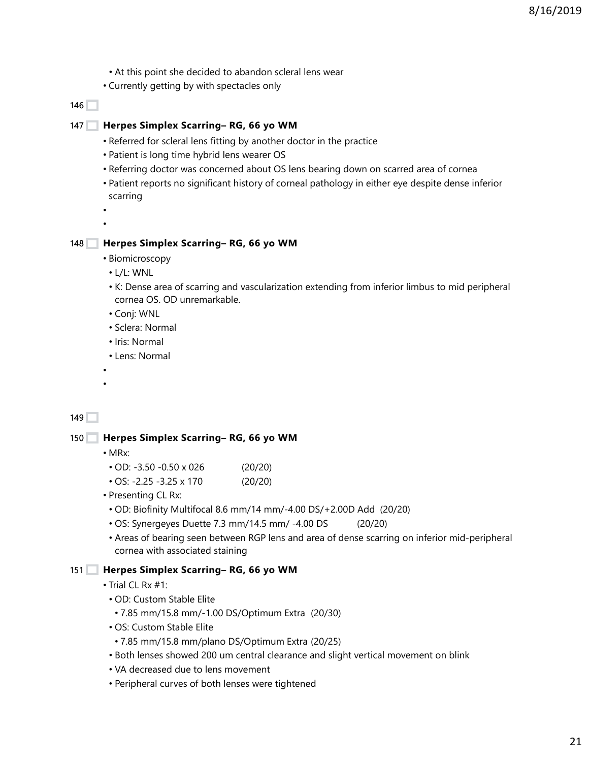- At this point she decided to abandon scleral lens wear
- Currently getting by with spectacles only

#### **Herpes Simplex Scarring– RG, 66 yo WM** 147

- Referred for scleral lens fitting by another doctor in the practice
- Patient is long time hybrid lens wearer OS
- Referring doctor was concerned about OS lens bearing down on scarred area of cornea
- Patient reports no significant history of corneal pathology in either eye despite dense inferior scarring

• •

#### **Herpes Simplex Scarring– RG, 66 yo WM** 148

- Biomicroscopy
- L/L: WNL
- K: Dense area of scarring and vascularization extending from inferior limbus to mid peripheral cornea OS. OD unremarkable.
- Conj: WNL
- Sclera: Normal
- Iris: Normal
- Lens: Normal
- •

#### $149$

**Herpes Simplex Scarring– RG, 66 yo WM** 150

- MRx:
- OD: -3.50 -0.50 x 026 (20/20)
- OS: -2.25 -3.25 x 170 (20/20)
- Presenting CL Rx:
- OD: Biofinity Multifocal 8.6 mm/14 mm/-4.00 DS/+2.00D Add (20/20)
- OS: Synergeyes Duette 7.3 mm/14.5 mm/ -4.00 DS (20/20)
- Areas of bearing seen between RGP lens and area of dense scarring on inferior mid-peripheral cornea with associated staining

#### **Herpes Simplex Scarring– RG, 66 yo WM** 151

- Trial  $\bigcap$  Rx #1:
- OD: Custom Stable Elite
	- 7.85 mm/15.8 mm/-1.00 DS/Optimum Extra (20/30)
- OS: Custom Stable Elite
- 7.85 mm/15.8 mm/plano DS/Optimum Extra (20/25)
- Both lenses showed 200 um central clearance and slight vertical movement on blink
- VA decreased due to lens movement
- Peripheral curves of both lenses were tightened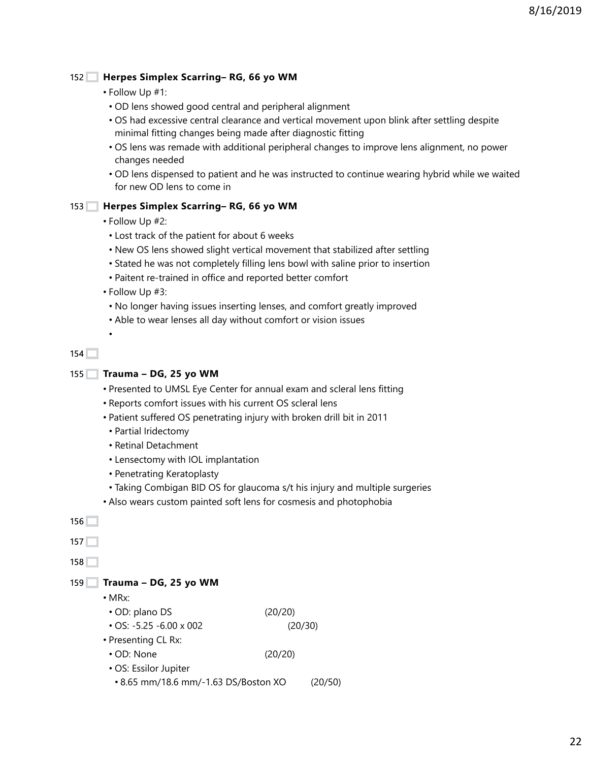#### **Herpes Simplex Scarring– RG, 66 yo WM**  $152$

- Follow Up #1:
- OD lens showed good central and peripheral alignment
- OS had excessive central clearance and vertical movement upon blink after settling despite minimal fitting changes being made after diagnostic fitting
- OS lens was remade with additional peripheral changes to improve lens alignment, no power changes needed
- OD lens dispensed to patient and he was instructed to continue wearing hybrid while we waited for new OD lens to come in

# **Herpes Simplex Scarring– RG, 66 yo WM** 153

- Follow Up #2:
	- Lost track of the patient for about 6 weeks
- New OS lens showed slight vertical movement that stabilized after settling
- Stated he was not completely filling lens bowl with saline prior to insertion
- Paitent re-trained in office and reported better comfort
- Follow Up #3:
- No longer having issues inserting lenses, and comfort greatly improved
- Able to wear lenses all day without comfort or vision issues

```
154
```
•

```
Trauma – DG, 25 yo WM
155
```
- Presented to UMSL Eye Center for annual exam and scleral lens fitting
- Reports comfort issues with his current OS scleral lens
- Patient suffered OS penetrating injury with broken drill bit in 2011
	- Partial Iridectomy
- Retinal Detachment
- Lensectomy with IOL implantation
- Penetrating Keratoplasty
- Taking Combigan BID OS for glaucoma s/t his injury and multiple surgeries
- Also wears custom painted soft lens for cosmesis and photophobia

```
Trauma – DG, 25 yo WM
159
     • MRx:
      • OD: plano DS (20/20)
      • OS: -5.25 -6.00 x 002 (20/30)
     • Presenting CL Rx:
      • OD: None (20/20)
      • OS: Essilor Jupiter
       • 8.65 mm/18.6 mm/-1.63 DS/Boston XO (20/50)
156
157<sup>+</sup>158
```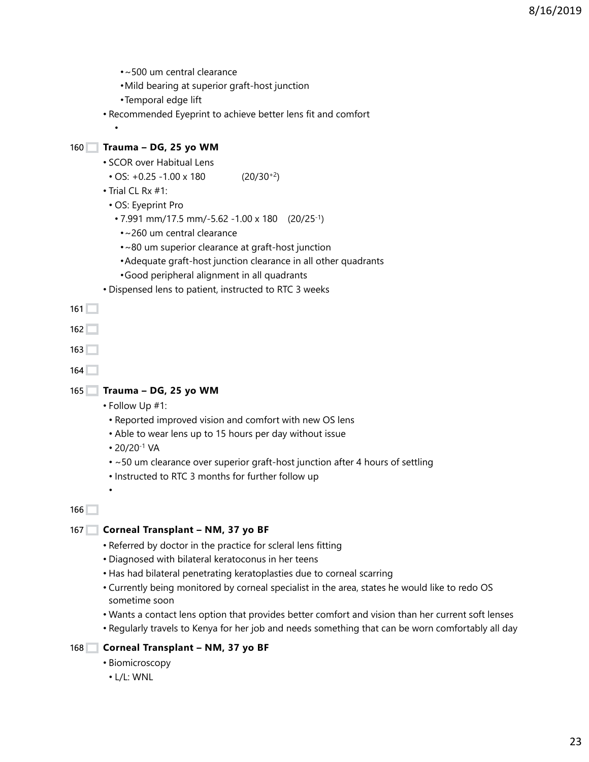- •~500 um central clearance
- •Mild bearing at superior graft-host junction
- •Temporal edge lift
- Recommended Eyeprint to achieve better lens fit and comfort

## **Trauma – DG, 25 yo WM** 160

•

- SCOR over Habitual Lens
	- OS:  $+0.25 -1.00 \times 180$  (20/30<sup>+2</sup>)
- Trial CL Rx #1:
- OS: Eyeprint Pro
	- 7.991 mm/17.5 mm/-5.62 -1.00 x 180 (20/25-1)
	- •~260 um central clearance
	- •~80 um superior clearance at graft-host junction
	- •Adequate graft-host junction clearance in all other quadrants
	- •Good peripheral alignment in all quadrants
- Dispensed lens to patient, instructed to RTC 3 weeks

 $161$ 

162

```
163
```

```
164
```
## **Trauma – DG, 25 yo WM** 165

- Follow Up #1:
	- Reported improved vision and comfort with new OS lens
- Able to wear lens up to 15 hours per day without issue
- 20/20-1 VA

•

- ~50 um clearance over superior graft-host junction after 4 hours of settling
- Instructed to RTC 3 months for further follow up

166

#### 167 Corneal Transplant - NM, 37 yo BF

- Referred by doctor in the practice for scleral lens fitting
- Diagnosed with bilateral keratoconus in her teens
- Has had bilateral penetrating keratoplasties due to corneal scarring
- Currently being monitored by corneal specialist in the area, states he would like to redo OS sometime soon
- Wants a contact lens option that provides better comfort and vision than her current soft lenses
- Regularly travels to Kenya for her job and needs something that can be worn comfortably all day

#### 168 Corneal Transplant - NM, 37 yo BF

- Biomicroscopy
	- L/L: WNL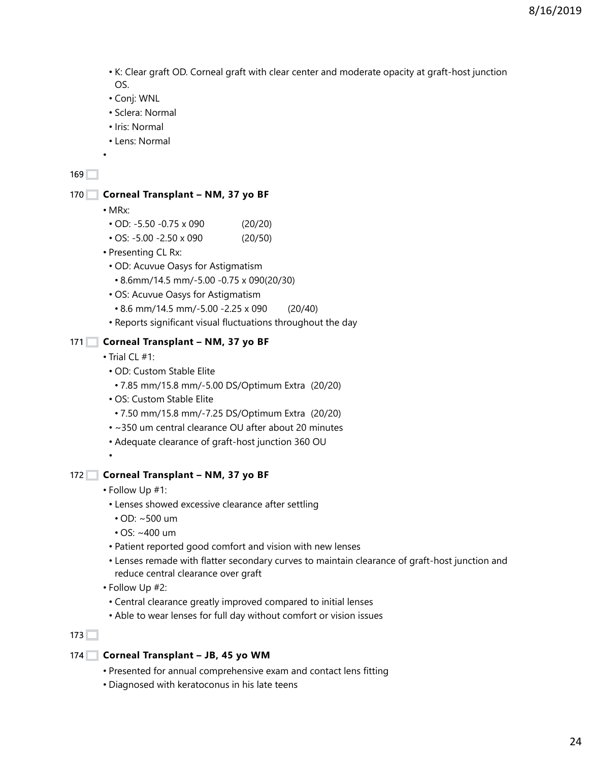8/16/2019

- K: Clear graft OD. Corneal graft with clear center and moderate opacity at graft-host junction OS.
- Conj: WNL
- Sclera: Normal
- Iris: Normal
- Lens: Normal

#### 169

#### 170 Corneal Transplant - NM, 37 yo BF

• MRx:

•

- OD: -5.50 -0.75 x 090 (20/20)
- OS: -5.00 -2.50 x 090 (20/50)
- Presenting CL Rx:
	- OD: Acuvue Oasys for Astigmatism
	- 8.6mm/14.5 mm/-5.00 -0.75 x 090(20/30)
- OS: Acuvue Oasys for Astigmatism
	- 8.6 mm/14.5 mm/-5.00 -2.25 x 090 (20/40)
- Reports significant visual fluctuations throughout the day

#### 171 Corneal Transplant - NM, 37 yo BF

- Trial CL #1:
	- OD: Custom Stable Elite
	- 7.85 mm/15.8 mm/-5.00 DS/Optimum Extra (20/20)
	- OS: Custom Stable Elite
	- 7.50 mm/15.8 mm/-7.25 DS/Optimum Extra (20/20)
	- ~350 um central clearance OU after about 20 minutes
	- Adequate clearance of graft-host junction 360 OU

#### 172 Corneal Transplant - NM, 37 yo BF

• Follow Up #1:

•

- Lenses showed excessive clearance after settling
	- OD: ~500 um
	- OS: ~400 um
- Patient reported good comfort and vision with new lenses
- Lenses remade with flatter secondary curves to maintain clearance of graft-host junction and reduce central clearance over graft
- Follow Up #2:
	- Central clearance greatly improved compared to initial lenses
- Able to wear lenses for full day without comfort or vision issues

## $173$

- **Corneal Transplant JB, 45 yo WM** 174
	- Presented for annual comprehensive exam and contact lens fitting
	- Diagnosed with keratoconus in his late teens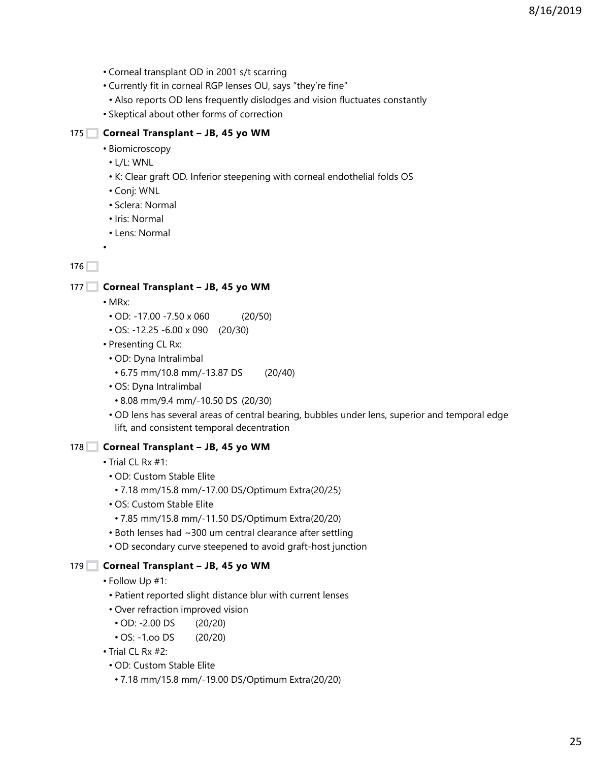- Corneal transplant OD in 2001 s/t scarring
- Currently fit in corneal RGP lenses OU, says "they're fine"
- Also reports OD lens frequently dislodges and vision fluctuates constantly
- Skeptical about other forms of correction

#### **Corneal Transplant – JB, 45 yo WM** 175

- Biomicroscopy
- L/L: WNL
- K: Clear graft OD. Inferior steepening with corneal endothelial folds OS
- Conj: WNL
- Sclera: Normal
- Iris: Normal
- Lens: Normal

 $176$ 

#### 177 Corneal Transplant - JB, 45 yo WM

• MRx:

•

- OD: -17.00 -7.50 x 060 (20/50)
- OS: -12.25 -6.00 x 090 (20/30)
- Presenting CL Rx:
	- OD: Dyna Intralimbal
	- 6.75 mm/10.8 mm/-13.87 DS (20/40)
	- OS: Dyna Intralimbal
	- 8.08 mm/9.4 mm/-10.50 DS (20/30)
	- OD lens has several areas of central bearing, bubbles under lens, superior and temporal edge lift, and consistent temporal decentration

## 178 Corneal Transplant - JB, 45 yo WM

- Trial CL Rx #1:
- OD: Custom Stable Elite
	- 7.18 mm/15.8 mm/-17.00 DS/Optimum Extra(20/25)
- OS: Custom Stable Elite
	- 7.85 mm/15.8 mm/-11.50 DS/Optimum Extra(20/20)
- Both lenses had ~300 um central clearance after settling
- OD secondary curve steepened to avoid graft-host junction

## 179 Corneal Transplant - JB, 45 yo WM

- Follow Up #1:
	- Patient reported slight distance blur with current lenses
	- Over refraction improved vision
	- OD: -2.00 DS (20/20)
	- OS: -1.oo DS (20/20)
- Trial CL Rx #2:
	- OD: Custom Stable Elite
	- 7.18 mm/15.8 mm/-19.00 DS/Optimum Extra(20/20)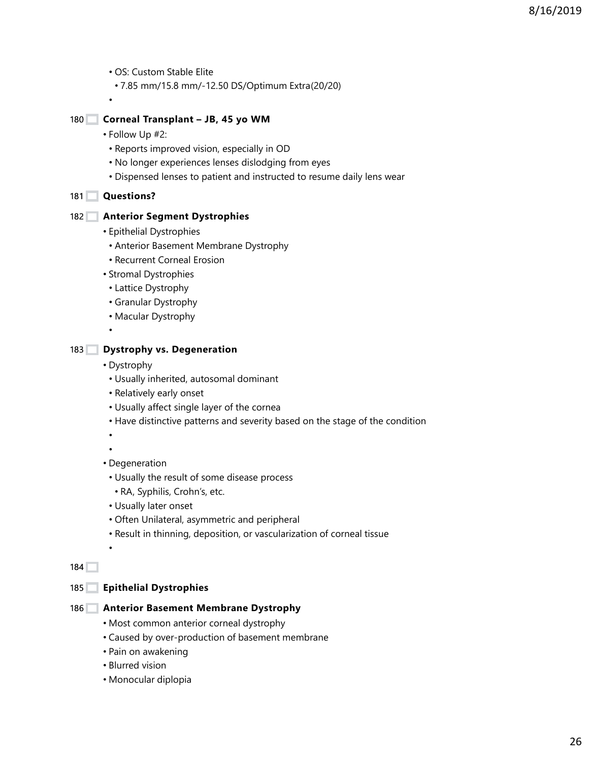• OS: Custom Stable Elite

• 7.85 mm/15.8 mm/-12.50 DS/Optimum Extra(20/20)

**Corneal Transplant – JB, 45 yo WM**  $180$ 

- Follow Up #2:
	- Reports improved vision, especially in OD
	- No longer experiences lenses dislodging from eyes
	- Dispensed lenses to patient and instructed to resume daily lens wear

#### **Questions?**  $181$

•

#### **Anterior Segment Dystrophies** 182

- Epithelial Dystrophies
- Anterior Basement Membrane Dystrophy
- Recurrent Corneal Erosion
- Stromal Dystrophies
- Lattice Dystrophy
- Granular Dystrophy
- Macular Dystrophy

#### **Dystrophy vs. Degeneration**  $183$

• Dystrophy

•

- Usually inherited, autosomal dominant
- Relatively early onset
- Usually affect single layer of the cornea
- Have distinctive patterns and severity based on the stage of the condition

• •

•

- Degeneration
	- Usually the result of some disease process
	- RA, Syphilis, Crohn's, etc.
	- Usually later onset
	- Often Unilateral, asymmetric and peripheral
	- Result in thinning, deposition, or vascularization of corneal tissue

184

#### **Epithelial Dystrophies** 185

- **Anterior Basement Membrane Dystrophy** 186
	- Most common anterior corneal dystrophy
	- Caused by over-production of basement membrane
	- Pain on awakening
	- Blurred vision
	- Monocular diplopia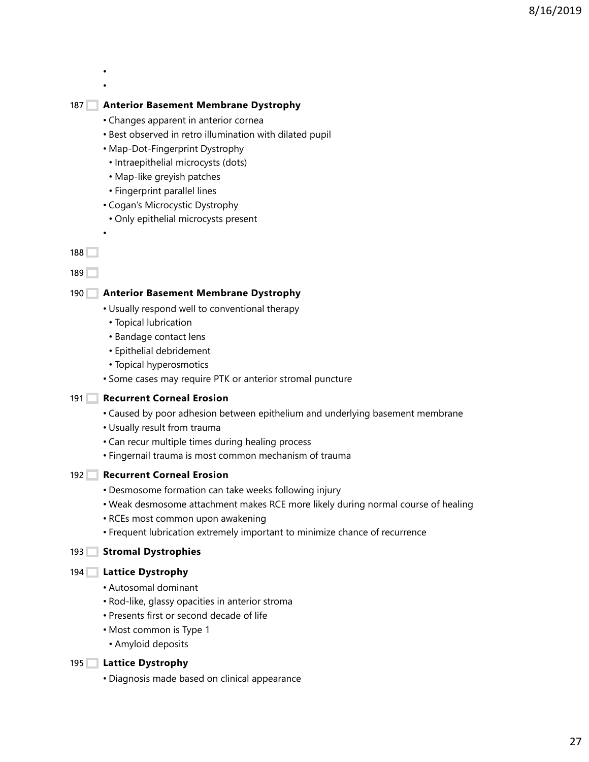- •
- •

# **Anterior Basement Membrane Dystrophy** 187

- Changes apparent in anterior cornea
- Best observed in retro illumination with dilated pupil
- Map-Dot-Fingerprint Dystrophy
	- Intraepithelial microcysts (dots)
	- Map-like greyish patches
	- Fingerprint parallel lines
- Cogan's Microcystic Dystrophy
- Only epithelial microcysts present

#### 188

•

189

## **Anterior Basement Membrane Dystrophy** 190

- Usually respond well to conventional therapy
	- Topical lubrication
	- Bandage contact lens
	- Epithelial debridement
	- Topical hyperosmotics
- Some cases may require PTK or anterior stromal puncture

## 191 Recurrent Corneal Erosion

- Caused by poor adhesion between epithelium and underlying basement membrane
- Usually result from trauma
- Can recur multiple times during healing process
- Fingernail trauma is most common mechanism of trauma

## 192 **Recurrent Corneal Erosion**

- Desmosome formation can take weeks following injury
- Weak desmosome attachment makes RCE more likely during normal course of healing
- RCEs most common upon awakening
- Frequent lubrication extremely important to minimize chance of recurrence

## 193 Stromal Dystrophies

#### **Lattice Dystrophy** 194

- Autosomal dominant
- Rod-like, glassy opacities in anterior stroma
- Presents first or second decade of life
- Most common is Type 1
- Amyloid deposits

## **Lattice Dystrophy** 195

• Diagnosis made based on clinical appearance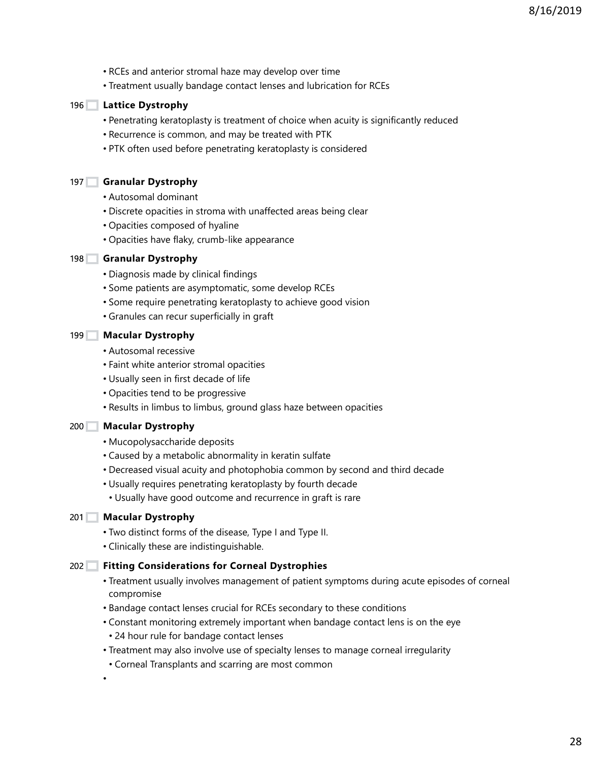- RCEs and anterior stromal haze may develop over time
- Treatment usually bandage contact lenses and lubrication for RCEs

#### **Lattice Dystrophy** 196

- Penetrating keratoplasty is treatment of choice when acuity is significantly reduced
- Recurrence is common, and may be treated with PTK
- PTK often used before penetrating keratoplasty is considered

#### **Granular Dystrophy** 197

- Autosomal dominant
- Discrete opacities in stroma with unaffected areas being clear
- Opacities composed of hyaline
- Opacities have flaky, crumb-like appearance

#### **Granular Dystrophy** 198

- Diagnosis made by clinical findings
- Some patients are asymptomatic, some develop RCEs
- Some require penetrating keratoplasty to achieve good vision
- Granules can recur superficially in graft

#### **Macular Dystrophy** 199

- Autosomal recessive
- Faint white anterior stromal opacities
- Usually seen in first decade of life
- Opacities tend to be progressive
- Results in limbus to limbus, ground glass haze between opacities

#### **Macular Dystrophy** 200

- Mucopolysaccharide deposits
- Caused by a metabolic abnormality in keratin sulfate
- Decreased visual acuity and photophobia common by second and third decade
- Usually requires penetrating keratoplasty by fourth decade
- Usually have good outcome and recurrence in graft is rare

#### **Macular Dystrophy** 201

- Two distinct forms of the disease, Type I and Type II.
- Clinically these are indistinguishable.

#### **Fitting Considerations for Corneal Dystrophies** 202

- Treatment usually involves management of patient symptoms during acute episodes of corneal compromise
- Bandage contact lenses crucial for RCEs secondary to these conditions
- Constant monitoring extremely important when bandage contact lens is on the eye • 24 hour rule for bandage contact lenses
- Treatment may also involve use of specialty lenses to manage corneal irregularity
- Corneal Transplants and scarring are most common

•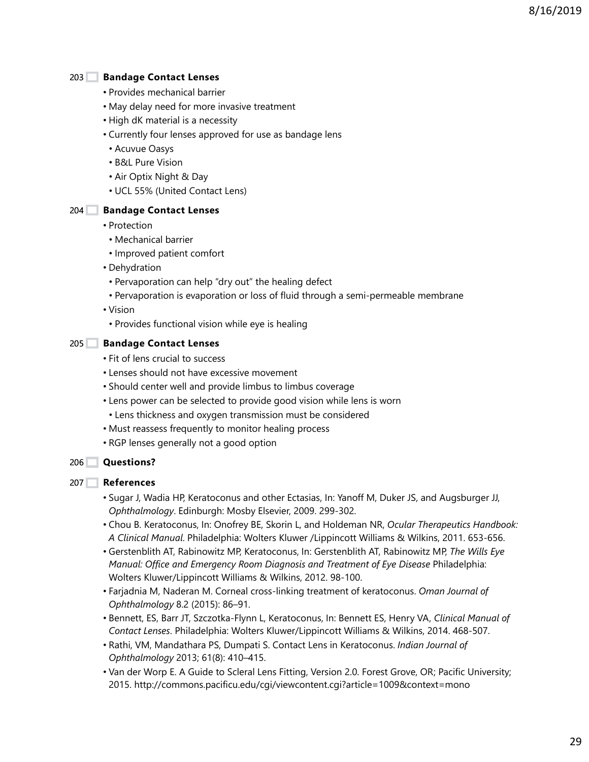#### **Bandage Contact Lenses**  $203$

- Provides mechanical barrier
- May delay need for more invasive treatment
- High dK material is a necessity
- Currently four lenses approved for use as bandage lens
- Acuvue Oasys
- B&L Pure Vision
- Air Optix Night & Day
- UCL 55% (United Contact Lens)

#### **Bandage Contact Lenses** 204

- Protection
- Mechanical barrier
- Improved patient comfort
- Dehydration
- Pervaporation can help "dry out" the healing defect
- Pervaporation is evaporation or loss of fluid through a semi-permeable membrane
- Vision
- Provides functional vision while eye is healing

#### **Bandage Contact Lenses** 205

- Fit of lens crucial to success
- Lenses should not have excessive movement
- Should center well and provide limbus to limbus coverage
- Lens power can be selected to provide good vision while lens is worn
- Lens thickness and oxygen transmission must be considered
- Must reassess frequently to monitor healing process
- RGP lenses generally not a good option

## **Questions?** 206

#### **References** 207

- Sugar J, Wadia HP, Keratoconus and other Ectasias, In: Yanoff M, Duker JS, and Augsburger JJ, *Ophthalmology*. Edinburgh: Mosby Elsevier, 2009. 299-302.
- Chou B. Keratoconus, In: Onofrey BE, Skorin L, and Holdeman NR, *Ocular Therapeutics Handbook: A Clinical Manual*. Philadelphia: Wolters Kluwer /Lippincott Williams & Wilkins, 2011. 653-656.
- Gerstenblith AT, Rabinowitz MP, Keratoconus, In: Gerstenblith AT, Rabinowitz MP, *The Wills Eye Manual: Office and Emergency Room Diagnosis and Treatment of Eye Disease Philadelphia:* Wolters Kluwer/Lippincott Williams & Wilkins, 2012. 98-100.
- Farjadnia M, Naderan M. Corneal cross-linking treatment of keratoconus. *Oman Journal of Ophthalmology* 8.2 (2015): 86–91.
- Bennett, ES, Barr JT, Szczotka-Flynn L, Keratoconus, In: Bennett ES, Henry VA, *Clinical Manual of Contact Lenses*. Philadelphia: Wolters Kluwer/Lippincott Williams & Wilkins, 2014. 468-507.
- Rathi, VM, Mandathara PS, Dumpati S. Contact Lens in Keratoconus. *Indian Journal of Ophthalmology* 2013; 61(8): 410–415.
- Van der Worp E. A Guide to Scleral Lens Fitting, Version 2.0. Forest Grove, OR; Pacific University; 2015. http://commons.pacificu.edu/cgi/viewcontent.cgi?article=1009&context=mono